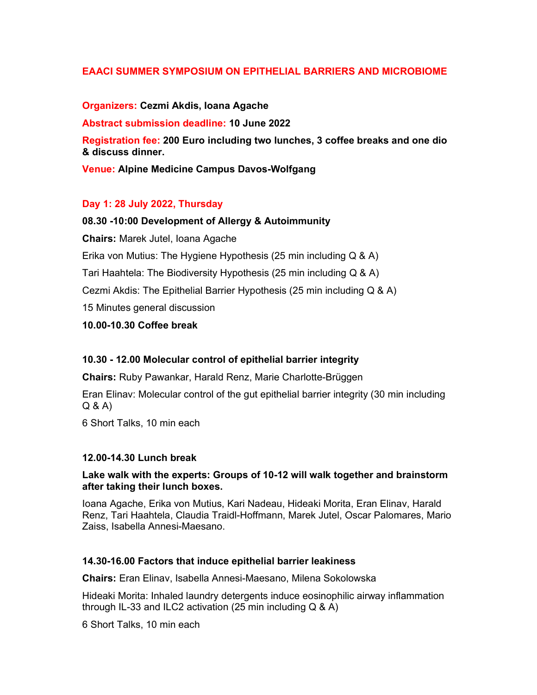# EAACI SUMMER SYMPOSIUM ON EPITHELIAL BARRIERS AND MICROBIOME

#### Organizers: Cezmi Akdis, Ioana Agache

Abstract submission deadline: 10 June 2022

Registration fee: 200 Euro including two lunches, 3 coffee breaks and one dio & discuss dinner.

Venue: Alpine Medicine Campus Davos-Wolfgang

## Day 1: 28 July 2022, Thursday

#### 08.30 -10:00 Development of Allergy & Autoimmunity

Chairs: Marek Jutel, Ioana Agache

Erika von Mutius: The Hygiene Hypothesis (25 min including Q & A)

Tari Haahtela: The Biodiversity Hypothesis (25 min including Q & A)

Cezmi Akdis: The Epithelial Barrier Hypothesis (25 min including Q & A)

15 Minutes general discussion

10.00-10.30 Coffee break

## 10.30 - 12.00 Molecular control of epithelial barrier integrity

Chairs: Ruby Pawankar, Harald Renz, Marie Charlotte-Brüggen

Eran Elinav: Molecular control of the gut epithelial barrier integrity (30 min including Q & A)

6 Short Talks, 10 min each

#### 12.00-14.30 Lunch break

#### Lake walk with the experts: Groups of 10-12 will walk together and brainstorm after taking their lunch boxes.

Ioana Agache, Erika von Mutius, Kari Nadeau, Hideaki Morita, Eran Elinav, Harald Renz, Tari Haahtela, Claudia Traidl-Hoffmann, Marek Jutel, Oscar Palomares, Mario Zaiss, Isabella Annesi-Maesano.

## 14.30-16.00 Factors that induce epithelial barrier leakiness

Chairs: Eran Elinav, Isabella Annesi-Maesano, Milena Sokolowska

Hideaki Morita: Inhaled laundry detergents induce eosinophilic airway inflammation through IL-33 and ILC2 activation (25 min including Q & A)

6 Short Talks, 10 min each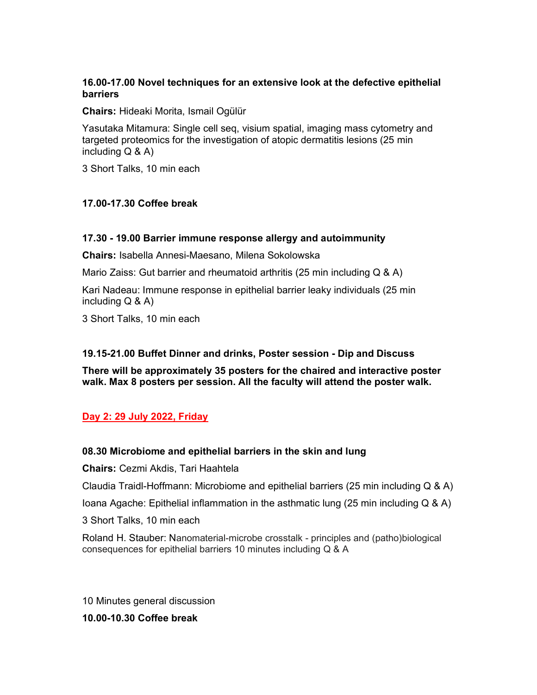# 16.00-17.00 Novel techniques for an extensive look at the defective epithelial barriers

Chairs: Hideaki Morita, Ismail Ogülür

Yasutaka Mitamura: Single cell seq, visium spatial, imaging mass cytometry and targeted proteomics for the investigation of atopic dermatitis lesions (25 min including  $Q & A$ )

3 Short Talks, 10 min each

## 17.00-17.30 Coffee break

## 17.30 - 19.00 Barrier immune response allergy and autoimmunity

Chairs: Isabella Annesi-Maesano, Milena Sokolowska

Mario Zaiss: Gut barrier and rheumatoid arthritis (25 min including Q & A)

Kari Nadeau: Immune response in epithelial barrier leaky individuals (25 min including  $Q$  &  $A$ )

3 Short Talks, 10 min each

## 19.15-21.00 Buffet Dinner and drinks, Poster session - Dip and Discuss

There will be approximately 35 posters for the chaired and interactive poster walk. Max 8 posters per session. All the faculty will attend the poster walk.

## Day 2: 29 July 2022, Friday

## 08.30 Microbiome and epithelial barriers in the skin and lung

Chairs: Cezmi Akdis, Tari Haahtela

Claudia Traidl-Hoffmann: Microbiome and epithelial barriers (25 min including Q & A)

Ioana Agache: Epithelial inflammation in the asthmatic lung (25 min including  $Q & A$ )

3 Short Talks, 10 min each

Roland H. Stauber: Nanomaterial-microbe crosstalk - principles and (patho)biological consequences for epithelial barriers 10 minutes including Q & A

10 Minutes general discussion

10.00-10.30 Coffee break